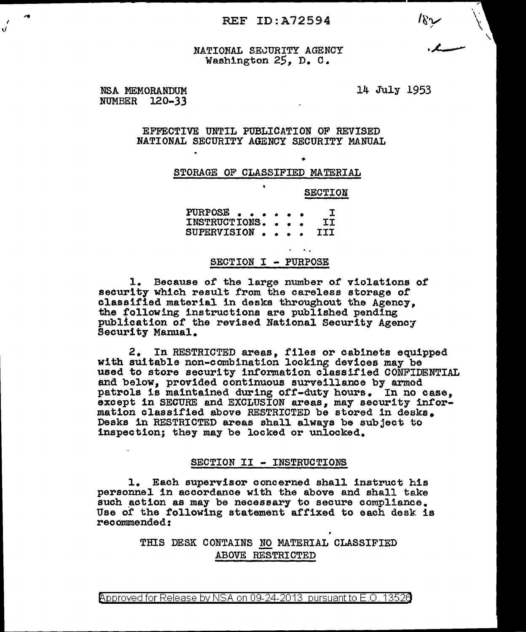REF ID:A72594  $\sqrt{2}$ 

NATIONAL SECURITY AGENCY<br>Washington 25. D. C.

NSA MEMORANDUM 14 July 1953 NUMBER 120-33

v.

EFFECTIVE UNTIL PUBLICATION OF REVISED NATIONAL SECURITY AGENCY SECURITY MANUAL

## STORAGE OF CLASSIFIED MATERIAL

SECTION

•

..

'.PURPOSE ••••• • I INSTRUCTIONS. . . . II INSTRUCTIONS.... II<br>SUPERVISION .... III

#### SECTION I - PURPOSE

1. Because of the large number of violations of security which result from the careless storage of classified material in desks throughout the Agency. the following instructions are published pending publication of the revised National Security Agency, Security Manual.

2. In RESTRICTED areas, files or cabinets equipped with suitable non-combination locking devices may be used to store security information classified CONFIDENTIAL and below, provided continuous surveillance by armed patrols is maintained during off-duty hours. In no case, except in SECURE and EXCLUSION areas, may security information classified above RESTRICTED be stored in desks. Desks in RESTRICTED areas shall always be subject to inspection; they may be locked or unlocked.

## SECTION II - INSTRUCTIONS

l. Each supervisor concerned shall instruct his personne1 in accordance with the above and shall take such action as may be necessary to secure compliance. Use of the following statement affixed to each desk is recommended:

# THIS DESK CONTAINS NO MATERIAL CLASSIFIED<br>ABOVE RESTRICTED

Approved for Release by NSA on 09-24-2013 pursuant to E.O. 1352a